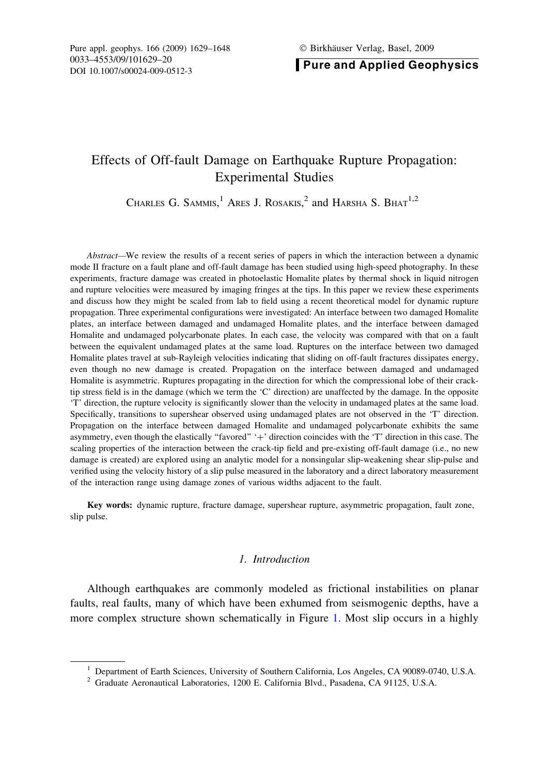**Pure and Applied Geophysics** 

# Effects of Off-fault Damage on Earthquake Rupture Propagation: Experimental Studies

CHARLES G. SAMMIS,<sup>1</sup> Ares J. Rosakis,<sup>2</sup> and Harsha S. Bhat<sup>1,2</sup>

Abstract—We review the results of a recent series of papers in which the interaction between a dynamic mode II fracture on a fault plane and off-fault damage has been studied using high-speed photography. In these experiments, fracture damage was created in photoelastic Homalite plates by thermal shock in liquid nitrogen and rupture velocities were measured by imaging fringes at the tips. In this paper we review these experiments and discuss how they might be scaled from lab to field using a recent theoretical model for dynamic rupture propagation. Three experimental configurations were investigated: An interface between two damaged Homalite plates, an interface between damaged and undamaged Homalite plates, and the interface between damaged Homalite and undamaged polycarbonate plates. In each case, the velocity was compared with that on a fault between the equivalent undamaged plates at the same load. Ruptures on the interface between two damaged Homalite plates travel at sub-Rayleigh velocities indicating that sliding on off-fault fractures dissipates energy, even though no new damage is created. Propagation on the interface between damaged and undamaged Homalite is asymmetric. Ruptures propagating in the direction for which the compressional lobe of their cracktip stress field is in the damage (which we term the 'C' direction) are unaffected by the damage. In the opposite 'T' direction, the rupture velocity is significantly slower than the velocity in undamaged plates at the same load. Specifically, transitions to supershear observed using undamaged plates are not observed in the 'T' direction. Propagation on the interface between damaged Homalite and undamaged polycarbonate exhibits the same asymmetry, even though the elastically "favored" '+' direction coincides with the 'T' direction in this case. The scaling properties of the interaction between the crack-tip field and pre-existing off-fault damage (i.e., no new damage is created) are explored using an analytic model for a nonsingular slip-weakening shear slip-pulse and verified using the velocity history of a slip pulse measured in the laboratory and a direct laboratory measurement of the interaction range using damage zones of various widths adjacent to the fault.

Key words: dynamic rupture, fracture damage, supershear rupture, asymmetric propagation, fault zone, slip pulse.

# 1. Introduction

Although earthquakes are commonly modeled as frictional instabilities on planar faults, real faults, many of which have been exhumed from seismogenic depths, have a more complex structure shown schematically in Figure [1](#page-1-0). Most slip occurs in a highly

<sup>&</sup>lt;sup>1</sup> Department of Earth Sciences, University of Southern California, Los Angeles, CA 90089-0740, U.S.A.

<sup>2</sup> Graduate Aeronautical Laboratories, 1200 E. California Blvd., Pasadena, CA 91125, U.S.A.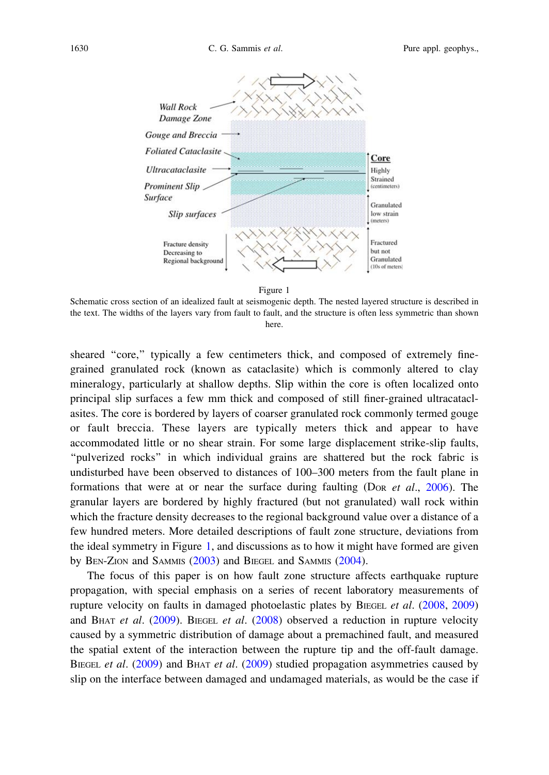<span id="page-1-0"></span>

Schematic cross section of an idealized fault at seismogenic depth. The nested layered structure is described in the text. The widths of the layers vary from fault to fault, and the structure is often less symmetric than shown here.

sheared ''core,'' typically a few centimeters thick, and composed of extremely finegrained granulated rock (known as cataclasite) which is commonly altered to clay mineralogy, particularly at shallow depths. Slip within the core is often localized onto principal slip surfaces a few mm thick and composed of still finer-grained ultracataclasites. The core is bordered by layers of coarser granulated rock commonly termed gouge or fault breccia. These layers are typically meters thick and appear to have accommodated little or no shear strain. For some large displacement strike-slip faults, ''pulverized rocks'' in which individual grains are shattered but the rock fabric is undisturbed have been observed to distances of 100–300 meters from the fault plane in formations that were at or near the surface during faulting (DoR *et al.*, [2006](#page-18-0)). The granular layers are bordered by highly fractured (but not granulated) wall rock within which the fracture density decreases to the regional background value over a distance of a few hundred meters. More detailed descriptions of fault zone structure, deviations from the ideal symmetry in Figure 1, and discussions as to how it might have formed are given by BEN-ZION and SAMMIS ([2003\)](#page-17-0) and BIEGEL and SAMMIS ([2004\)](#page-18-0).

The focus of this paper is on how fault zone structure affects earthquake rupture propagation, with special emphasis on a series of recent laboratory measurements of rupture velocity on faults in damaged photoelastic plates by BIEGEL et al. ([2008,](#page-18-0) [2009\)](#page-18-0) and BHAT et al.  $(2009)$  $(2009)$  $(2009)$ . BIEGEL et al.  $(2008)$  $(2008)$  observed a reduction in rupture velocity caused by a symmetric distribution of damage about a premachined fault, and measured the spatial extent of the interaction between the rupture tip and the off-fault damage. BIEGEL et al. [\(2009](#page-18-0)) and BHAT et al. ([2009\)](#page-18-0) studied propagation asymmetries caused by slip on the interface between damaged and undamaged materials, as would be the case if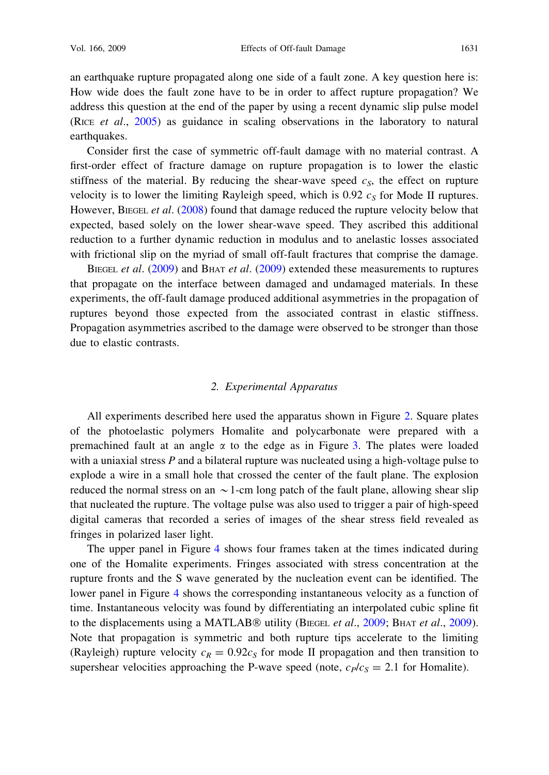an earthquake rupture propagated along one side of a fault zone. A key question here is: How wide does the fault zone have to be in order to affect rupture propagation? We address this question at the end of the paper by using a recent dynamic slip pulse model (RICE et al., [2005](#page-18-0)) as guidance in scaling observations in the laboratory to natural earthquakes.

Consider first the case of symmetric off-fault damage with no material contrast. A first-order effect of fracture damage on rupture propagation is to lower the elastic stiffness of the material. By reducing the shear-wave speed  $c_S$ , the effect on rupture velocity is to lower the limiting Rayleigh speed, which is 0.92  $c_s$  for Mode II ruptures. However, BIEGEL et al. ([2008\)](#page-18-0) found that damage reduced the rupture velocity below that expected, based solely on the lower shear-wave speed. They ascribed this additional reduction to a further dynamic reduction in modulus and to anelastic losses associated with frictional slip on the myriad of small off-fault fractures that comprise the damage.

BIEGEL et al. [\(2009](#page-18-0)) and BHAT et al. ([2009\)](#page-18-0) extended these measurements to ruptures that propagate on the interface between damaged and undamaged materials. In these experiments, the off-fault damage produced additional asymmetries in the propagation of ruptures beyond those expected from the associated contrast in elastic stiffness. Propagation asymmetries ascribed to the damage were observed to be stronger than those due to elastic contrasts.

# 2. Experimental Apparatus

All experiments described here used the apparatus shown in Figure [2](#page-3-0). Square plates of the photoelastic polymers Homalite and polycarbonate were prepared with a premachined fault at an angle  $\alpha$  to the edge as in Figure [3.](#page-3-0) The plates were loaded with a uniaxial stress P and a bilateral rupture was nucleated using a high-voltage pulse to explode a wire in a small hole that crossed the center of the fault plane. The explosion reduced the normal stress on an  $\sim$  1-cm long patch of the fault plane, allowing shear slip that nucleated the rupture. The voltage pulse was also used to trigger a pair of high-speed digital cameras that recorded a series of images of the shear stress field revealed as fringes in polarized laser light.

The upper panel in Figure [4](#page-4-0) shows four frames taken at the times indicated during one of the Homalite experiments. Fringes associated with stress concentration at the rupture fronts and the S wave generated by the nucleation event can be identified. The lower panel in Figure [4](#page-4-0) shows the corresponding instantaneous velocity as a function of time. Instantaneous velocity was found by differentiating an interpolated cubic spline fit to the displacements using a MATLAB $\circledast$  utility (BIEGEL *et al.*, [2009](#page-18-0)). BHAT *et al.*, 2009). Note that propagation is symmetric and both rupture tips accelerate to the limiting (Rayleigh) rupture velocity  $c_R = 0.92c_S$  for mode II propagation and then transition to supershear velocities approaching the P-wave speed (note,  $c_P/c_S = 2.1$  for Homalite).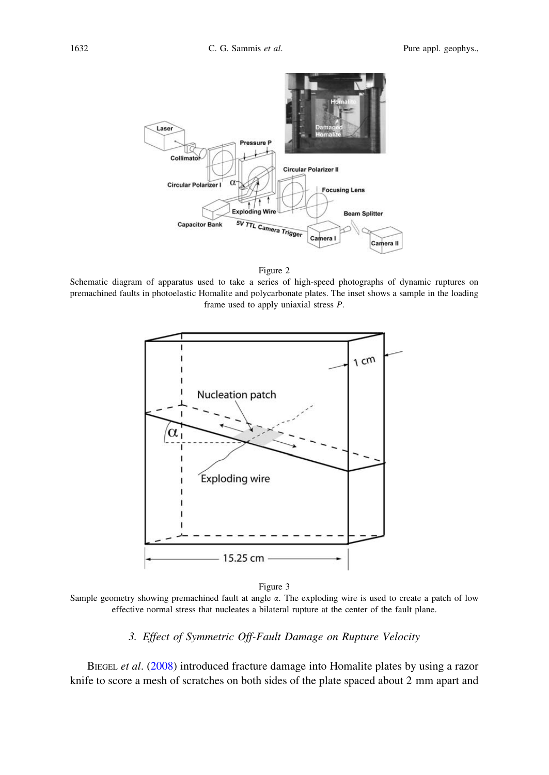<span id="page-3-0"></span>

Schematic diagram of apparatus used to take a series of high-speed photographs of dynamic ruptures on premachined faults in photoelastic Homalite and polycarbonate plates. The inset shows a sample in the loading frame used to apply uniaxial stress P.



Figure 3

Sample geometry showing premachined fault at angle  $\alpha$ . The exploding wire is used to create a patch of low effective normal stress that nucleates a bilateral rupture at the center of the fault plane.

# 3. Effect of Symmetric Off-Fault Damage on Rupture Velocity

BIEGEL et al. [\(2008](#page-18-0)) introduced fracture damage into Homalite plates by using a razor knife to score a mesh of scratches on both sides of the plate spaced about 2 mm apart and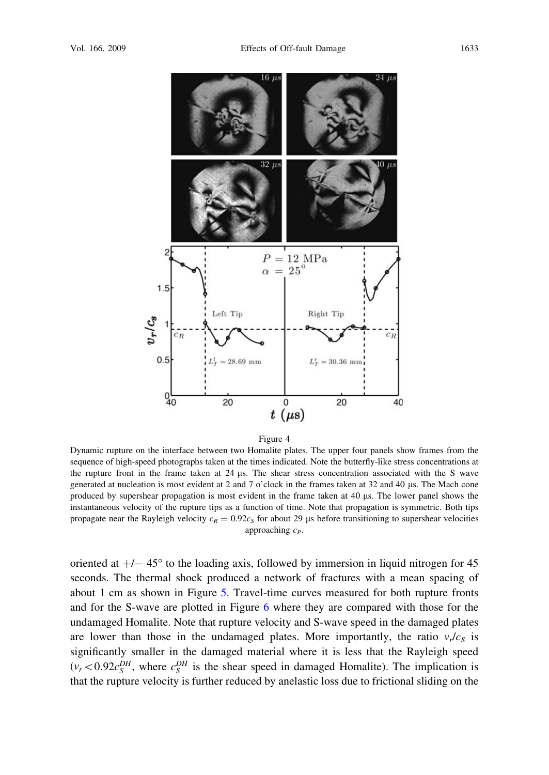<span id="page-4-0"></span>

Dynamic rupture on the interface between two Homalite plates. The upper four panels show frames from the sequence of high-speed photographs taken at the times indicated. Note the butterfly-like stress concentrations at the rupture front in the frame taken at 24 ls. The shear stress concentration associated with the S wave generated at nucleation is most evident at 2 and 7 o'clock in the frames taken at 32 and 40 ls. The Mach cone produced by supershear propagation is most evident in the frame taken at 40 ls. The lower panel shows the instantaneous velocity of the rupture tips as a function of time. Note that propagation is symmetric. Both tips propagate near the Rayleigh velocity  $c_R = 0.92c_S$  for about 29 µs before transitioning to supershear velocities approaching  $c_P$ .

oriented at  $+/- 45^{\circ}$  to the loading axis, followed by immersion in liquid nitrogen for 45 seconds. The thermal shock produced a network of fractures with a mean spacing of about 1 cm as shown in Figure [5.](#page-5-0) Travel-time curves measured for both rupture fronts and for the S-wave are plotted in Figure [6](#page-5-0) where they are compared with those for the undamaged Homalite. Note that rupture velocity and S-wave speed in the damaged plates are lower than those in the undamaged plates. More importantly, the ratio  $v_r/c_s$  is significantly smaller in the damaged material where it is less that the Rayleigh speed  $(v_r < 0.92c_S^{DH}$ , where  $c_S^{DH}$  is the shear speed in damaged Homalite). The implication is that the rupture velocity is further reduced by anelastic loss due to frictional sliding on the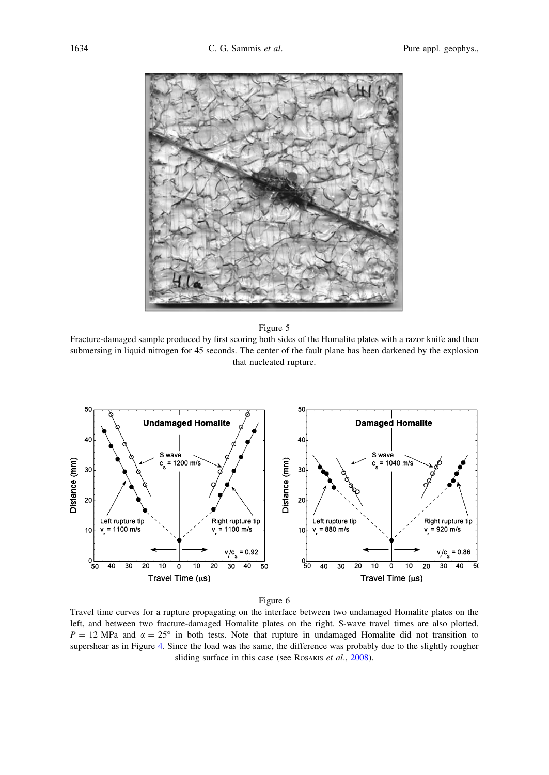<span id="page-5-0"></span>

Fracture-damaged sample produced by first scoring both sides of the Homalite plates with a razor knife and then submersing in liquid nitrogen for 45 seconds. The center of the fault plane has been darkened by the explosion that nucleated rupture.



#### Figure 6

Travel time curves for a rupture propagating on the interface between two undamaged Homalite plates on the left, and between two fracture-damaged Homalite plates on the right. S-wave travel times are also plotted.  $P = 12$  MPa and  $\alpha = 25^{\circ}$  in both tests. Note that rupture in undamaged Homalite did not transition to supershear as in Figure [4.](#page-4-0) Since the load was the same, the difference was probably due to the slightly rougher sliding surface in this case (see ROSAKIS et al., [2008\)](#page-18-0).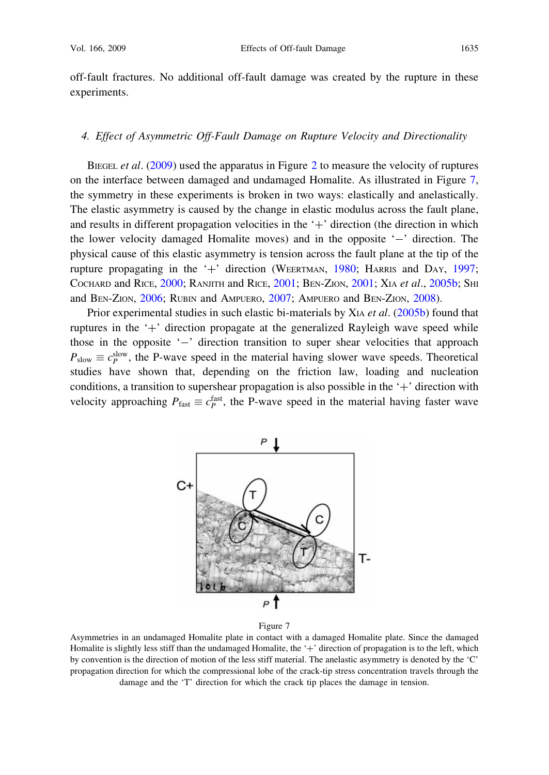<span id="page-6-0"></span>off-fault fractures. No additional off-fault damage was created by the rupture in these experiments.

# 4. Effect of Asymmetric Off-Fault Damage on Rupture Velocity and Directionality

BIEGEL *et al.* ([2009\)](#page-18-0) used the apparatus in Figure [2](#page-3-0) to measure the velocity of ruptures on the interface between damaged and undamaged Homalite. As illustrated in Figure 7, the symmetry in these experiments is broken in two ways: elastically and anelastically. The elastic asymmetry is caused by the change in elastic modulus across the fault plane, and results in different propagation velocities in the  $+$  direction (the direction in which the lower velocity damaged Homalite moves) and in the opposite '-' direction. The physical cause of this elastic asymmetry is tension across the fault plane at the tip of the rupture propagating in the '+' direction (WEERTMAN,  $1980$ ; HARRIS and DAY, [1997](#page-18-0); COCHARD and RICE, [2000;](#page-18-0) RANJITH and RICE, [2001](#page-18-0); BEN-ZION, [2001;](#page-17-0) XIA et al., [2005b;](#page-19-0) SHI and BEN-ZION, [2006;](#page-18-0) RUBIN and AMPUERO, [2007;](#page-18-0) AMPUERO and BEN-ZION, [2008\)](#page-17-0).

Prior experimental studies in such elastic bi-materials by XIA et al. ([2005b\)](#page-19-0) found that ruptures in the  $+$  direction propagate at the generalized Rayleigh wave speed while those in the opposite '-' direction transition to super shear velocities that approach  $P_{\text{slow}} \equiv c_P^{\text{slow}}$ , the P-wave speed in the material having slower wave speeds. Theoretical studies have shown that, depending on the friction law, loading and nucleation conditions, a transition to supershear propagation is also possible in the  $+$  direction with velocity approaching  $P_{\text{fast}} \equiv c_P^{\text{fast}}$ , the P-wave speed in the material having faster wave





Asymmetries in an undamaged Homalite plate in contact with a damaged Homalite plate. Since the damaged Homalite is slightly less stiff than the undamaged Homalite, the  $+$ <sup>1</sup> direction of propagation is to the left, which by convention is the direction of motion of the less stiff material. The anelastic asymmetry is denoted by the 'C' propagation direction for which the compressional lobe of the crack-tip stress concentration travels through the damage and the 'T' direction for which the crack tip places the damage in tension.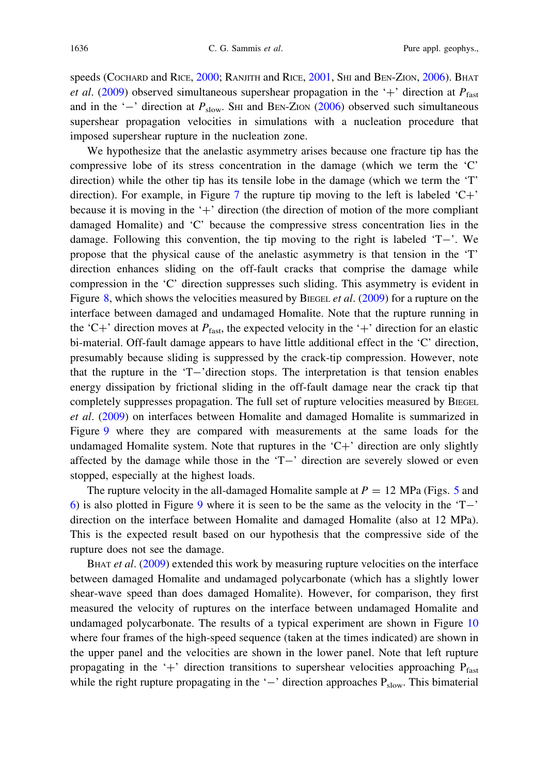speeds (COCHARD and RICE, [2000](#page-18-0); RANJITH and RICE, [2001](#page-18-0), SHI and BEN-ZION, [2006\)](#page-18-0). BHAT *et al.* [\(2009](#page-18-0)) observed simultaneous supershear propagation in the '+' direction at  $P_{\text{fast}}$ and in the '-' direction at  $P_{slow}$ . SHI and BEN-ZION [\(2006](#page-18-0)) observed such simultaneous supershear propagation velocities in simulations with a nucleation procedure that imposed supershear rupture in the nucleation zone.

We hypothesize that the anelastic asymmetry arises because one fracture tip has the compressive lobe of its stress concentration in the damage (which we term the 'C' direction) while the other tip has its tensile lobe in the damage (which we term the 'T' direction). For example, in Figure [7](#page-6-0) the rupture tip moving to the left is labeled  $C^+$ . because it is moving in the  $+$  direction (the direction of motion of the more compliant damaged Homalite) and 'C' because the compressive stress concentration lies in the damage. Following this convention, the tip moving to the right is labeled  $T-$ . We propose that the physical cause of the anelastic asymmetry is that tension in the 'T' direction enhances sliding on the off-fault cracks that comprise the damage while compression in the 'C' direction suppresses such sliding. This asymmetry is evident in Figure [8,](#page-8-0) which shows the velocities measured by BIEGEL *et al.* [\(2009](#page-18-0)) for a rupture on the interface between damaged and undamaged Homalite. Note that the rupture running in the 'C+' direction moves at  $P_{\text{fast}}$ , the expected velocity in the '+' direction for an elastic bi-material. Off-fault damage appears to have little additional effect in the 'C' direction, presumably because sliding is suppressed by the crack-tip compression. However, note that the rupture in the  $T-\text{direction stops}$ . The interpretation is that tension enables energy dissipation by frictional sliding in the off-fault damage near the crack tip that completely suppresses propagation. The full set of rupture velocities measured by BIEGEL et al. ([2009\)](#page-18-0) on interfaces between Homalite and damaged Homalite is summarized in Figure [9](#page-9-0) where they are compared with measurements at the same loads for the undamaged Homalite system. Note that ruptures in the  $C^+$  direction are only slightly affected by the damage while those in the  $T-$ ' direction are severely slowed or even stopped, especially at the highest loads.

The rupture velocity in the all-damaged Homalite sample at  $P = 12$  MPa (Figs. [5](#page-5-0) and [6\)](#page-5-0) is also plotted in Figure [9](#page-9-0) where it is seen to be the same as the velocity in the  $T$ direction on the interface between Homalite and damaged Homalite (also at 12 MPa). This is the expected result based on our hypothesis that the compressive side of the rupture does not see the damage.

BHAT *et al.* ([2009\)](#page-18-0) extended this work by measuring rupture velocities on the interface between damaged Homalite and undamaged polycarbonate (which has a slightly lower shear-wave speed than does damaged Homalite). However, for comparison, they first measured the velocity of ruptures on the interface between undamaged Homalite and undamaged polycarbonate. The results of a typical experiment are shown in Figure [10](#page-10-0) where four frames of the high-speed sequence (taken at the times indicated) are shown in the upper panel and the velocities are shown in the lower panel. Note that left rupture propagating in the '+' direction transitions to supershear velocities approaching  $P_{\text{fast}}$ while the right rupture propagating in the '-' direction approaches  $P_{slow}$ . This bimaterial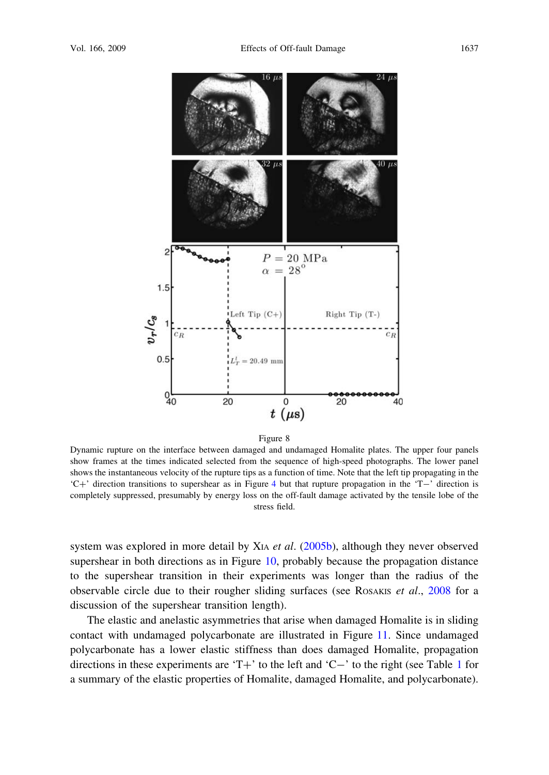<span id="page-8-0"></span>

Dynamic rupture on the interface between damaged and undamaged Homalite plates. The upper four panels show frames at the times indicated selected from the sequence of high-speed photographs. The lower panel shows the instantaneous velocity of the rupture tips as a function of time. Note that the left tip propagating in the  $C^+$ ' direction transitions to supershear as in Figure [4](#page-4-0) but that rupture propagation in the 'T-' direction is completely suppressed, presumably by energy loss on the off-fault damage activated by the tensile lobe of the stress field.

system was explored in more detail by X<sub>IA</sub> et al.  $(2005b)$  $(2005b)$ , although they never observed supershear in both directions as in Figure [10,](#page-10-0) probably because the propagation distance to the supershear transition in their experiments was longer than the radius of the observable circle due to their rougher sliding surfaces (see ROSAKIS *et al.*,  $2008$  for a discussion of the supershear transition length).

The elastic and anelastic asymmetries that arise when damaged Homalite is in sliding contact with undamaged polycarbonate are illustrated in Figure [11.](#page-11-0) Since undamaged polycarbonate has a lower elastic stiffness than does damaged Homalite, propagation directions in these experiments are 'T+' to the left and 'C-' to the right (see Table [1](#page-11-0) for a summary of the elastic properties of Homalite, damaged Homalite, and polycarbonate).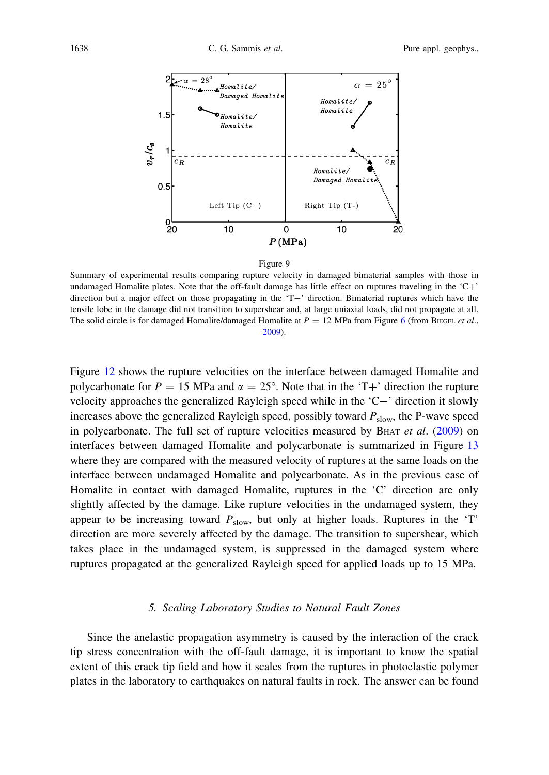<span id="page-9-0"></span>



Summary of experimental results comparing rupture velocity in damaged bimaterial samples with those in undamaged Homalite plates. Note that the off-fault damage has little effect on ruptures traveling in the  $C^+$ direction but a major effect on those propagating in the 'T-' direction. Bimaterial ruptures which have the tensile lobe in the damage did not transition to supershear and, at large uniaxial loads, did not propagate at all. The solid circle is for damaged Homalite/damaged Homalite at  $P = 12$  MPa from Figure [6](#page-5-0) (from BIEGEL et al., [2009\)](#page-18-0).

Figure [12](#page-12-0) shows the rupture velocities on the interface between damaged Homalite and polycarbonate for  $P = 15$  MPa and  $\alpha = 25^{\circ}$ . Note that in the 'T+' direction the rupture velocity approaches the generalized Rayleigh speed while in the  $C-$  direction it slowly increases above the generalized Rayleigh speed, possibly toward  $P_{slow}$ , the P-wave speed in polycarbonate. The full set of rupture velocities measured by B $HAT$  *et al.* [\(2009](#page-18-0)) on interfaces between damaged Homalite and polycarbonate is summarized in Figure [13](#page-13-0) where they are compared with the measured velocity of ruptures at the same loads on the interface between undamaged Homalite and polycarbonate. As in the previous case of Homalite in contact with damaged Homalite, ruptures in the 'C' direction are only slightly affected by the damage. Like rupture velocities in the undamaged system, they appear to be increasing toward  $P_{slow}$ , but only at higher loads. Ruptures in the 'T' direction are more severely affected by the damage. The transition to supershear, which takes place in the undamaged system, is suppressed in the damaged system where ruptures propagated at the generalized Rayleigh speed for applied loads up to 15 MPa.

## 5. Scaling Laboratory Studies to Natural Fault Zones

Since the anelastic propagation asymmetry is caused by the interaction of the crack tip stress concentration with the off-fault damage, it is important to know the spatial extent of this crack tip field and how it scales from the ruptures in photoelastic polymer plates in the laboratory to earthquakes on natural faults in rock. The answer can be found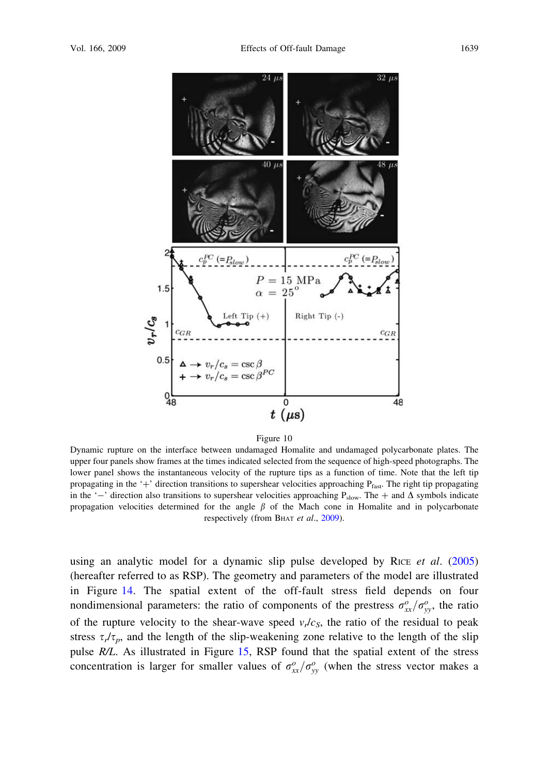<span id="page-10-0"></span>

Dynamic rupture on the interface between undamaged Homalite and undamaged polycarbonate plates. The upper four panels show frames at the times indicated selected from the sequence of high-speed photographs. The lower panel shows the instantaneous velocity of the rupture tips as a function of time. Note that the left tip propagating in the '+' direction transitions to supershear velocities approaching  $P_{fast}$ . The right tip propagating in the '-' direction also transitions to supershear velocities approaching  $P_{slow}$ . The  $+$  and  $\Delta$  symbols indicate propagation velocities determined for the angle  $\beta$  of the Mach cone in Homalite and in polycarbonate respectively (from BHAT et al., [2009\)](#page-18-0).

using an analytic model for a dynamic slip pulse developed by RICE et al.  $(2005)$  $(2005)$ (hereafter referred to as RSP). The geometry and parameters of the model are illustrated in Figure [14.](#page-13-0) The spatial extent of the off-fault stress field depends on four nondimensional parameters: the ratio of components of the prestress  $\sigma_{xx}^o/\sigma_{yy}^o$ , the ratio of the rupture velocity to the shear-wave speed  $v_r/c_s$ , the ratio of the residual to peak stress  $\tau_r/\tau_p$ , and the length of the slip-weakening zone relative to the length of the slip pulse R/L. As illustrated in Figure [15,](#page-14-0) RSP found that the spatial extent of the stress concentration is larger for smaller values of  $\sigma_{xx}^o/\sigma_{yy}^o$  (when the stress vector makes a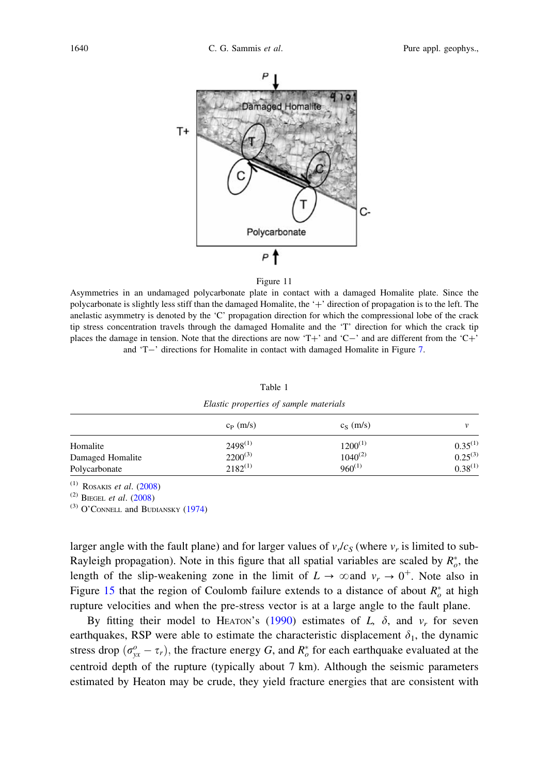<span id="page-11-0"></span>

Asymmetries in an undamaged polycarbonate plate in contact with a damaged Homalite plate. Since the polycarbonate is slightly less stiff than the damaged Homalite, the '+' direction of propagation is to the left. The anelastic asymmetry is denoted by the 'C' propagation direction for which the compressional lobe of the crack tip stress concentration travels through the damaged Homalite and the 'T' direction for which the crack tip places the damage in tension. Note that the directions are now 'T+' and 'C-' and are different from the 'C+' and 'T-' directions for Homalite in contact with damaged Homalite in Figure [7.](#page-6-0)

| ٧ |  |
|---|--|
|---|--|

Elastic properties of sample materials

|                  | $c_{P}$ (m/s) | $c_S$ (m/s)  |              |
|------------------|---------------|--------------|--------------|
| Homalite         | $2498^{(1)}$  | $1200^{(1)}$ | $0.35^{(1)}$ |
| Damaged Homalite | $2200^{(3)}$  | $1040^{(2)}$ | $0.25^{(3)}$ |
| Polycarbonate    | $2182^{(1)}$  | $960^{(1)}$  | $0.38^{(1)}$ |

 $(1)$  ROSAKIS *et al.* ([2008](#page-18-0))

 $(2)$  BIEGEL *et al.*  $(2008)$  $(2008)$ 

(3) O'CONNELL and BUDIANSKY ([1974\)](#page-18-0)

larger angle with the fault plane) and for larger values of  $v_r/c_s$  (where  $v_r$  is limited to sub-Rayleigh propagation). Note in this figure that all spatial variables are scaled by  $R_o^*$ , the length of the slip-weakening zone in the limit of  $L \rightarrow \infty$  and  $v_r \rightarrow 0^+$ . Note also in Figure [15](#page-14-0) that the region of Coulomb failure extends to a distance of about  $R_o^*$  at high rupture velocities and when the pre-stress vector is at a large angle to the fault plane.

By fitting their model to HEATON's ([1990\)](#page-18-0) estimates of L,  $\delta$ , and  $v_r$  for seven earthquakes, RSP were able to estimate the characteristic displacement  $\delta_1$ , the dynamic stress drop  $(\sigma_{yx}^o - \tau_r)$ , the fracture energy G, and  $R_o^*$  for each earthquake evaluated at the centroid depth of the rupture (typically about 7 km). Although the seismic parameters estimated by Heaton may be crude, they yield fracture energies that are consistent with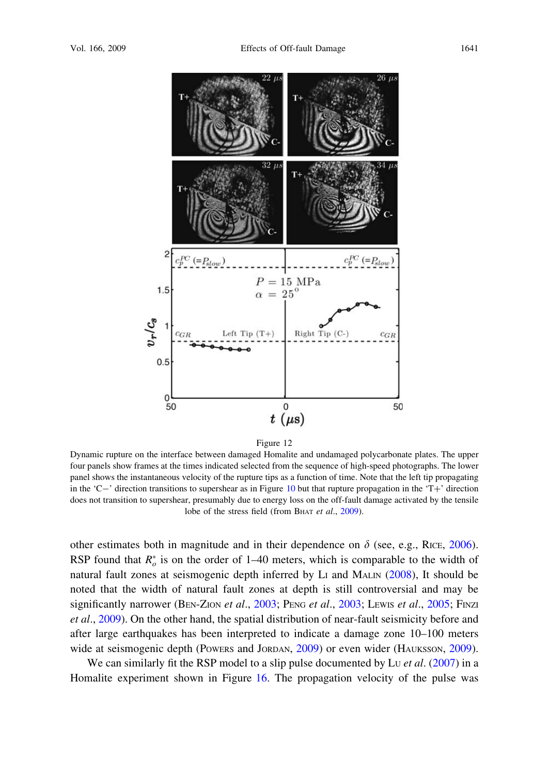<span id="page-12-0"></span>

Dynamic rupture on the interface between damaged Homalite and undamaged polycarbonate plates. The upper four panels show frames at the times indicated selected from the sequence of high-speed photographs. The lower panel shows the instantaneous velocity of the rupture tips as a function of time. Note that the left tip propagating in the 'C-' direction transitions to supershear as in Figure [10](#page-10-0) but that rupture propagation in the 'T+' direction does not transition to supershear, presumably due to energy loss on the off-fault damage activated by the tensile lobe of the stress field (from BHAT et al., [2009\)](#page-18-0).

other estimates both in magnitude and in their dependence on  $\delta$  (see, e.g., RICE, [2006](#page-18-0)). RSP found that  $R_o^*$  is on the order of 1–40 meters, which is comparable to the width of natural fault zones at seismogenic depth inferred by LI and MALIN ([2008\)](#page-18-0), It should be noted that the width of natural fault zones at depth is still controversial and may be significantly narrower (BEN-ZION et al., [2003;](#page-18-0) PENG et al., [2003](#page-18-0); LEWIS et al., [2005](#page-18-0); FINZI et al., [2009](#page-18-0)). On the other hand, the spatial distribution of near-fault seismicity before and after large earthquakes has been interpreted to indicate a damage zone 10–100 meters wide at seismogenic depth (Powers and Jordan, [2009](#page-18-0)) or even wider (HAUKSSON, 2009).

We can similarly fit the RSP model to a slip pulse documented by Lu  $et$  al. ([2007\)](#page-18-0) in a Homalite experiment shown in Figure [16.](#page-15-0) The propagation velocity of the pulse was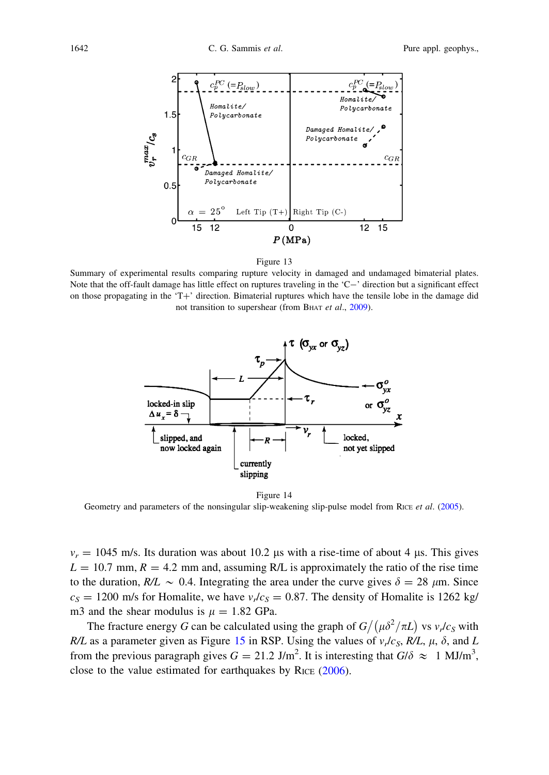<span id="page-13-0"></span>



Summary of experimental results comparing rupture velocity in damaged and undamaged bimaterial plates. Note that the off-fault damage has little effect on ruptures traveling in the  $C-$ ' direction but a significant effect on those propagating in the 'T+' direction. Bimaterial ruptures which have the tensile lobe in the damage did not transition to supershear (from BHAT et al., [2009\)](#page-18-0).



Figure 14 Geometry and parameters of the nonsingular slip-weakening slip-pulse model from RICE et al. [\(2005\)](#page-18-0).

 $v_r = 1045$  m/s. Its duration was about 10.2 us with a rise-time of about 4 us. This gives  $L = 10.7$  mm,  $R = 4.2$  mm and, assuming R/L is approximately the ratio of the rise time to the duration,  $R/L \sim 0.4$ . Integrating the area under the curve gives  $\delta = 28 \mu m$ . Since  $c_S = 1200$  m/s for Homalite, we have  $v_r/c_s = 0.87$ . The density of Homalite is 1262 kg/ m3 and the shear modulus is  $\mu = 1.82$  GPa.

The fracture energy G can be calculated using the graph of  $G/(\mu \delta^2 / \pi L)$  vs  $v_r/c_s$  with R/L as a parameter given as Figure [15](#page-14-0) in RSP. Using the values of  $v_r/c_s$ , R/L,  $\mu$ ,  $\delta$ , and L from the previous paragraph gives  $G = 21.2$  J/m<sup>2</sup>. It is interesting that  $G/\delta \approx 1$  MJ/m<sup>3</sup>, close to the value estimated for earthquakes by RICE [\(2006](#page-18-0)).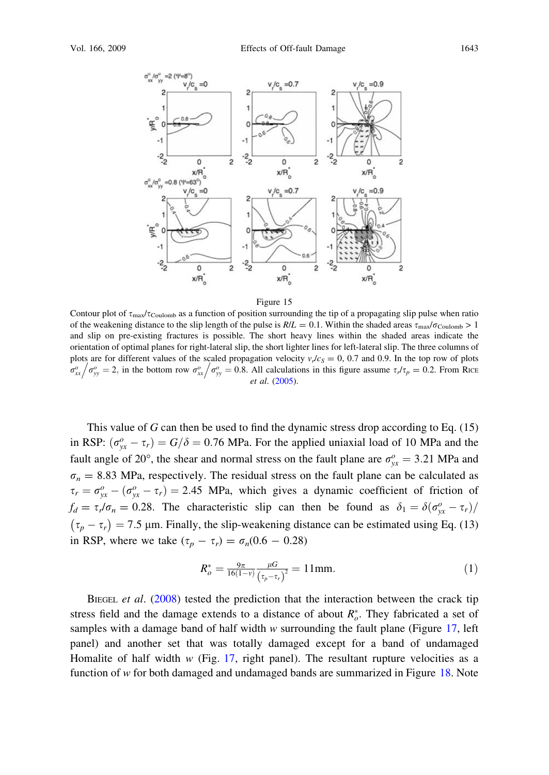<span id="page-14-0"></span>

Contour plot of  $\tau_{\text{max}}/\tau_{\text{Coulomb}}$  as a function of position surrounding the tip of a propagating slip pulse when ratio of the weakening distance to the slip length of the pulse is  $R/L = 0.1$ . Within the shaded areas  $\tau_{\text{max}}/\sigma_{\text{Coulomb}} > 1$ and slip on pre-existing fractures is possible. The short heavy lines within the shaded areas indicate the orientation of optimal planes for right-lateral slip, the short lighter lines for left-lateral slip. The three columns of plots are for different values of the scaled propagation velocity  $v_r/c_s = 0$ , 0.7 and 0.9. In the top row of plots plots are for different values of the scaled propagation velocity  $v_r c_s = 0, 0.7$  and 0.9. In the top row of plots  $\sigma_{xx}^0/\sigma_{yy}^0 = 0.8$ . All calculations in this figure assume  $\tau_r/\tau_p = 0.2$ . From RICE et al. ([2005\)](#page-18-0).

This value of  $G$  can then be used to find the dynamic stress drop according to Eq. (15) in RSP:  $(\sigma_{yx}^o - \tau_r) = G/\delta = 0.76$  MPa. For the applied uniaxial load of 10 MPa and the fault angle of 20°, the shear and normal stress on the fault plane are  $\sigma_{yx}^o = 3.21$  MPa and  $\sigma_n$  = 8.83 MPa, respectively. The residual stress on the fault plane can be calculated as  $\tau_r = \sigma_{yx}^o - (\sigma_{yx}^o - \tau_r) = 2.45$  MPa, which gives a dynamic coefficient of friction of  $f_d = \tau l \sigma_n = 0.28$ . The characteristic slip can then be found as  $\delta_1 = \delta(\sigma_{yx}^o - \tau_r)/\sigma_n^o$  $(\tau_p - \tau_r) = 7.5$  µm. Finally, the slip-weakening distance can be estimated using Eq. (13) in RSP, where we take  $(\tau_p - \tau_r) = \sigma_n(0.6 - 0.28)$ 

$$
R_o^* = \frac{9\pi}{16(1-\nu)} \frac{\mu G}{(\tau_p - \tau_r)^2} = 11 \,\text{mm}.
$$
 (1)

BIEGEL *et al.*  $(2008)$  $(2008)$  tested the prediction that the interaction between the crack tip stress field and the damage extends to a distance of about  $R_o^*$ . They fabricated a set of samples with a damage band of half width  $w$  surrounding the fault plane (Figure [17](#page-16-0), left panel) and another set that was totally damaged except for a band of undamaged Homalite of half width  $w$  (Fig. [17](#page-16-0), right panel). The resultant rupture velocities as a function of  $w$  for both damaged and undamaged bands are summarized in Figure [18](#page-16-0). Note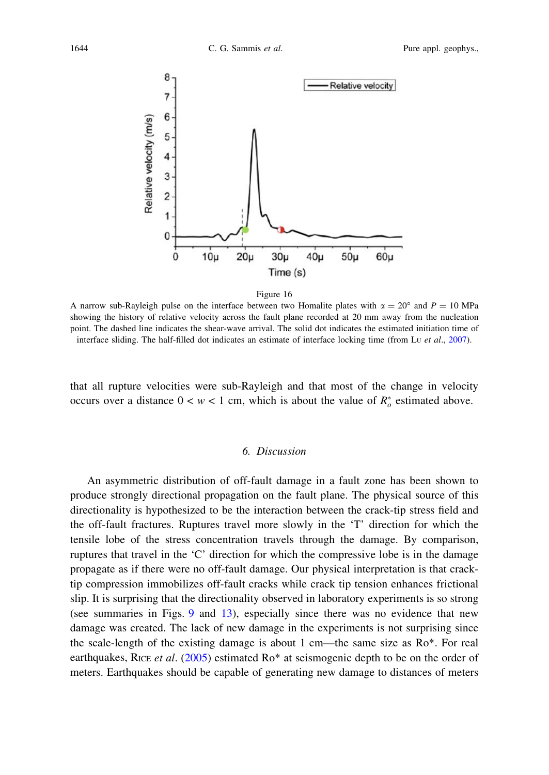<span id="page-15-0"></span>

A narrow sub-Rayleigh pulse on the interface between two Homalite plates with  $\alpha = 20^{\circ}$  and  $P = 10$  MPa showing the history of relative velocity across the fault plane recorded at 20 mm away from the nucleation point. The dashed line indicates the shear-wave arrival. The solid dot indicates the estimated initiation time of interface sliding. The half-filled dot indicates an estimate of interface locking time (from Lu et al., [2007\)](#page-18-0).

that all rupture velocities were sub-Rayleigh and that most of the change in velocity occurs over a distance  $0 < w < 1$  cm, which is about the value of  $R_o^*$  estimated above.

## 6. Discussion

An asymmetric distribution of off-fault damage in a fault zone has been shown to produce strongly directional propagation on the fault plane. The physical source of this directionality is hypothesized to be the interaction between the crack-tip stress field and the off-fault fractures. Ruptures travel more slowly in the 'T' direction for which the tensile lobe of the stress concentration travels through the damage. By comparison, ruptures that travel in the 'C' direction for which the compressive lobe is in the damage propagate as if there were no off-fault damage. Our physical interpretation is that cracktip compression immobilizes off-fault cracks while crack tip tension enhances frictional slip. It is surprising that the directionality observed in laboratory experiments is so strong (see summaries in Figs. [9](#page-9-0) and [13](#page-13-0)), especially since there was no evidence that new damage was created. The lack of new damage in the experiments is not surprising since the scale-length of the existing damage is about 1 cm—the same size as Ro\*. For real earthquakes, RICE et al. [\(2005](#page-18-0)) estimated  $Ro^*$  at seismogenic depth to be on the order of meters. Earthquakes should be capable of generating new damage to distances of meters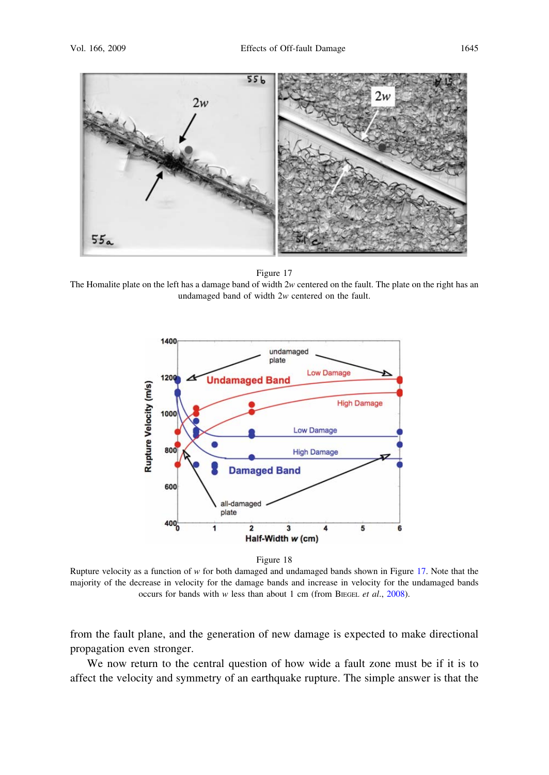<span id="page-16-0"></span>

The Homalite plate on the left has a damage band of width  $2w$  centered on the fault. The plate on the right has an undamaged band of width 2w centered on the fault.





Rupture velocity as a function of  $w$  for both damaged and undamaged bands shown in Figure 17. Note that the majority of the decrease in velocity for the damage bands and increase in velocity for the undamaged bands occurs for bands with w less than about 1 cm (from BIEGEL *et al.*, [2008\)](#page-18-0).

from the fault plane, and the generation of new damage is expected to make directional propagation even stronger.

We now return to the central question of how wide a fault zone must be if it is to affect the velocity and symmetry of an earthquake rupture. The simple answer is that the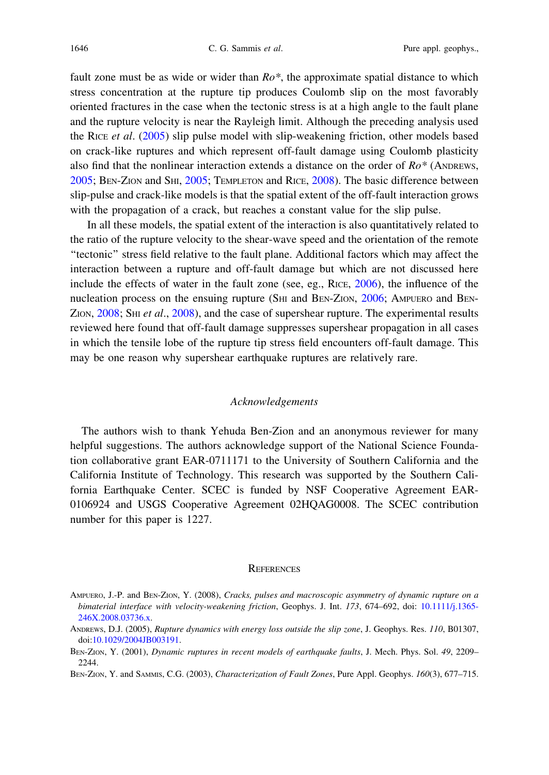<span id="page-17-0"></span>fault zone must be as wide or wider than  $Ro^*$ , the approximate spatial distance to which stress concentration at the rupture tip produces Coulomb slip on the most favorably oriented fractures in the case when the tectonic stress is at a high angle to the fault plane and the rupture velocity is near the Rayleigh limit. Although the preceding analysis used the RICE et al. [\(2005](#page-18-0)) slip pulse model with slip-weakening friction, other models based on crack-like ruptures and which represent off-fault damage using Coulomb plasticity also find that the nonlinear interaction extends a distance on the order of  $Ro^*$  (ANDREWS, 2005; BEN-ZION and SHI, [2005](#page-18-0); TEMPLETON and RICE, [2008\)](#page-19-0). The basic difference between slip-pulse and crack-like models is that the spatial extent of the off-fault interaction grows with the propagation of a crack, but reaches a constant value for the slip pulse.

In all these models, the spatial extent of the interaction is also quantitatively related to the ratio of the rupture velocity to the shear-wave speed and the orientation of the remote ''tectonic'' stress field relative to the fault plane. Additional factors which may affect the interaction between a rupture and off-fault damage but which are not discussed here include the effects of water in the fault zone (see, eg., RICE, [2006\)](#page-18-0), the influence of the nucleation process on the ensuing rupture (S<sub>HI</sub> and B<sub>EN</sub>-Z<sub>ION</sub>, [2006](#page-18-0); AMPUERO and BEN-ZION,  $2008$ ; SHI et al.,  $2008$ ), and the case of supershear rupture. The experimental results reviewed here found that off-fault damage suppresses supershear propagation in all cases in which the tensile lobe of the rupture tip stress field encounters off-fault damage. This may be one reason why supershear earthquake ruptures are relatively rare.

## Acknowledgements

The authors wish to thank Yehuda Ben-Zion and an anonymous reviewer for many helpful suggestions. The authors acknowledge support of the National Science Foundation collaborative grant EAR-0711171 to the University of Southern California and the California Institute of Technology. This research was supported by the Southern California Earthquake Center. SCEC is funded by NSF Cooperative Agreement EAR-0106924 and USGS Cooperative Agreement 02HQAG0008. The SCEC contribution number for this paper is 1227.

## **REFERENCES**

- AMPUERO, J.-P. and BEN-ZION, Y. (2008), Cracks, pulses and macroscopic asymmetry of dynamic rupture on a bimaterial interface with velocity-weakening friction, Geophys. J. Int. 173, 674–692, doi: 10.1111/j.1365-246X.2008.03736.x.
- ANDREWS, D.J. (2005), Rupture dynamics with energy loss outside the slip zone, J. Geophys. Res. 110, B01307, doi:10.1029/2004JB003191.
- BEN-ZION, Y. (2001), Dynamic ruptures in recent models of earthquake faults, J. Mech. Phys. Sol. 49, 2209– 2244.

BEN-ZION, Y. and SAMMIS, C.G. (2003), Characterization of Fault Zones, Pure Appl. Geophys. 160(3), 677-715.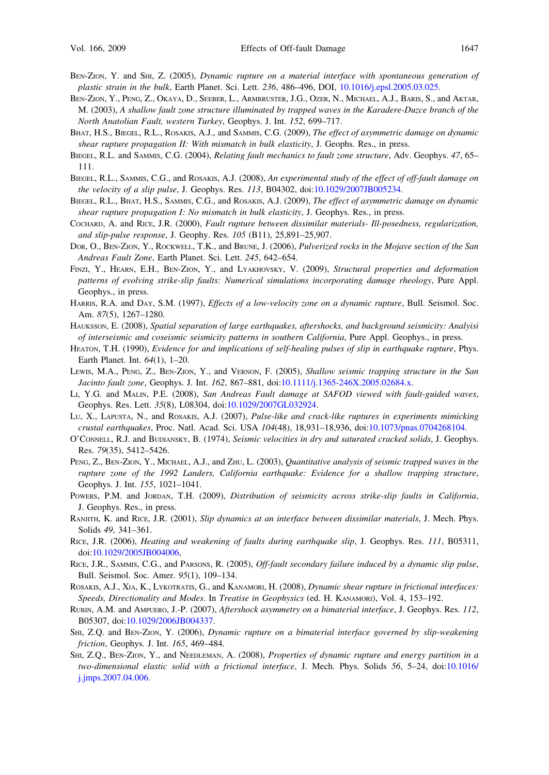- <span id="page-18-0"></span>BEN-ZION, Y. and SHI, Z. (2005), Dynamic rupture on a material interface with spontaneous generation of plastic strain in the bulk, Earth Planet. Sci. Lett. 236, 486–496, DOI, 10.1016/j.epsl.2005.03.025.
- BEN-ZION, Y., PENG, Z., OKAYA, D., SEEBER, L., ARMBRUSTER, J.G., OZER, N., MICHAEL, A.J., BARIS, S., and AKTAR, M. (2003), A shallow fault zone structure illuminated by trapped waves in the Karadere-Duzce branch of the North Anatolian Fault, western Turkey, Geophys. J. Int. 152, 699–717.
- BHAT, H.S., BIEGEL, R.L., ROSAKIS, A.J., and SAMMIS, C.G. (2009), The effect of asymmetric damage on dynamic shear rupture propagation II: With mismatch in bulk elasticity, J. Geophs. Res., in press.
- BIEGEL, R.L. and SAMMIS, C.G. (2004), Relating fault mechanics to fault zone structure, Adv. Geophys. 47, 65– 111.
- BIEGEL, R.L., SAMMIS, C.G., and ROSAKIS, A.J. (2008), An experimental study of the effect of off-fault damage on the velocity of a slip pulse, J. Geophys. Res. 113, B04302, doi:10.1029/2007JB005234.
- BIEGEL, R.L., BHAT, H.S., SAMMIS, C.G., and ROSAKIS, A.J. (2009), The effect of asymmetric damage on dynamic shear rupture propagation I: No mismatch in bulk elasticity, J. Geophys. Res., in press.
- COCHARD, A. and RICE, J.R. (2000), Fault rupture between dissimilar materials- Ill-posedness, regularization, and slip-pulse response, J. Geophy. Res. 105 (B11), 25,891–25,907.
- DOR, O., BEN-ZION, Y., ROCKWELL, T.K., and BRUNE, J. (2006), Pulverized rocks in the Mojave section of the San Andreas Fault Zone, Earth Planet. Sci. Lett. 245, 642–654.
- FINZI, Y., HEARN, E.H., BEN-ZION, Y., and LYAKHOVSKY, V. (2009), Structural properties and deformation patterns of evolving strike-slip faults: Numerical simulations incorporating damage rheology, Pure Appl. Geophys., in press.
- HARRIS, R.A. and DAY, S.M. (1997), *Effects of a low-velocity zone on a dynamic rupture*, Bull. Seismol. Soc. Am. 87(5), 1267–1280.
- HAUKSSON, E. (2008), Spatial separation of large earthquakes, aftershocks, and background seismicity: Analyisi of interseismic and coseismic seismicity patterns in southern California, Pure Appl. Geophys., in press.
- HEATON, T.H. (1990), Evidence for and implications of self-healing pulses of slip in earthquake rupture, Phys. Earth Planet. Int. 64(1), 1–20.
- LEWIS, M.A., PENG, Z., BEN-ZION, Y., and VERNON, F. (2005), Shallow seismic trapping structure in the San Jacinto fault zone, Geophys. J. Int. 162, 867–881, doi:10.1111/j.1365-246X.2005.02684.x.
- LI, Y.G. and MALIN, P.E. (2008), San Andreas Fault damage at SAFOD viewed with fault-guided waves, Geophys. Res. Lett. 35(8), L08304, doi:10.1029/2007GL032924.
- LU, X., LAPUSTA, N., and ROSAKIS, A.J. (2007), Pulse-like and crack-like ruptures in experiments mimicking crustal earthquakes, Proc. Natl. Acad. Sci. USA 104(48), 18,931–18,936, doi:10.1073/pnas.0704268104.
- O'CONNELL, R.J. and BUDIANSKY, B. (1974), Seismic velocities in dry and saturated cracked solids, J. Geophys. Res. 79(35), 5412–5426.
- PENG, Z., BEN-ZION, Y., MICHAEL, A.J., and ZHU, L. (2003), Quantitative analysis of seismic trapped waves in the rupture zone of the 1992 Landers, California earthquake: Evidence for a shallow trapping structure, Geophys. J. Int. 155, 1021–1041.
- POWERS, P.M. and JORDAN, T.H. (2009), Distribution of seismicity across strike-slip faults in California, J. Geophys. Res., in press.
- RANJITH, K. and RICE, J.R. (2001), Slip dynamics at an interface between dissimilar materials, J. Mech. Phys. Solids 49, 341–361.
- RICE, J.R. (2006), Heating and weakening of faults during earthquake slip, J. Geophys. Res. 111, B05311, doi:10.1029/2005JB004006,
- RICE, J.R., SAMMIS, C.G., and PARSONS, R. (2005), Off-fault secondary failure induced by a dynamic slip pulse, Bull. Seismol. Soc. Amer. 95(1), 109–134.
- ROSAKIS, A.J., XIA, K., LYKOTRATIS, G., and KANAMORI, H. (2008), Dynamic shear rupture in frictional interfaces: Speeds, Directionality and Modes. In Treatise in Geophysics (ed. H. KANAMORI), Vol. 4, 153–192.
- RUBIN, A.M. and AMPUERO, J.-P. (2007), Aftershock asymmetry on a bimaterial interface, J. Geophys. Res. 112, B05307, doi:10.1029/2006JB004337.
- SHI, Z.Q. and BEN-ZION, Y. (2006), Dynamic rupture on a bimaterial interface governed by slip-weakening friction, Geophys. J. Int. 165, 469–484.
- SHI, Z.Q., BEN-ZION, Y., and NEEDLEMAN, A. (2008), Properties of dynamic rupture and energy partition in a two-dimensional elastic solid with a frictional interface, J. Mech. Phys. Solids 56, 5–24, doi:10.1016/ j.jmps.2007.04.006.